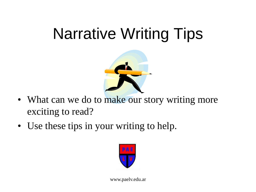#### Narrative Writing Tips



- What can we do to make our story writing more exciting to read?
- Use these tips in your writing to help.

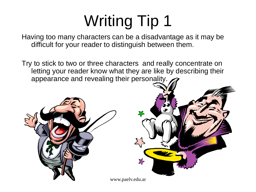Having too many characters can be a disadvantage as it may be difficult for your reader to distinguish between them.

Try to stick to two or three characters and really concentrate on letting your reader know what they are like by describing their appearance and revealing their personality.



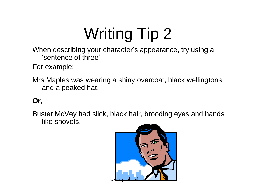When describing your character's appearance, try using a 'sentence of three'.

For example:

Mrs Maples was wearing a shiny overcoat, black wellingtons and a peaked hat.

#### **Or,**

Buster McVey had slick, black hair, brooding eyes and hands like shovels.

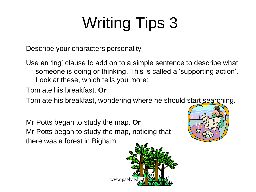Describe your characters personality

Use an 'ing' clause to add on to a simple sentence to describe what someone is doing or thinking. This is called a 'supporting action'. Look at these, which tells you more:

Tom ate his breakfast. **Or**

Tom ate his breakfast, wondering where he should start searching.

Mr Potts began to study the map. **Or** Mr Potts began to study the map, noticing that there was a forest in Bigham.



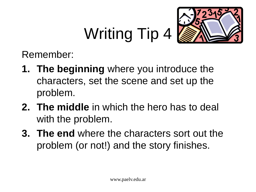

Remember:

- **1. The beginning** where you introduce the characters, set the scene and set up the problem.
- **2. The middle** in which the hero has to deal with the problem.
- **3. The end** where the characters sort out the problem (or not!) and the story finishes.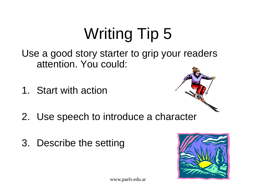Use a good story starter to grip your readers attention. You could:

1. Start with action



- 2. Use speech to introduce a character
- 3. Describe the setting

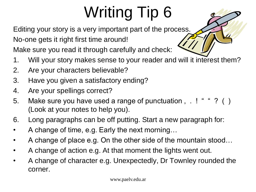Editing your story is a very important part of the process.

No-one gets it right first time around!

Make sure you read it through carefully and check:

- 1. Will your story makes sense to your reader and will it interest them?
- 2. Are your characters believable?
- 3. Have you given a satisfactory ending?
- 4. Are your spellings correct?
- 5. Make sure you have used a range of punctuation, .! " " ? () (Look at your notes to help you).
- 6. Long paragraphs can be off putting. Start a new paragraph for:
- A change of time, e.g. Early the next morning…
- A change of place e.g. On the other side of the mountain stood…
- A change of action e.g. At that moment the lights went out.
- A change of character e.g. Unexpectedly, Dr Townley rounded the corner.